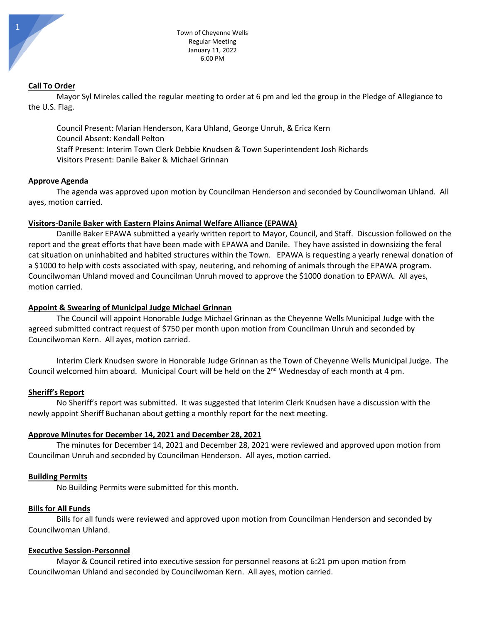### **Call To Order**

Mayor Syl Mireles called the regular meeting to order at 6 pm and led the group in the Pledge of Allegiance to the U.S. Flag.

Council Present: Marian Henderson, Kara Uhland, George Unruh, & Erica Kern Council Absent: Kendall Pelton Staff Present: Interim Town Clerk Debbie Knudsen & Town Superintendent Josh Richards Visitors Present: Danile Baker & Michael Grinnan

### **Approve Agenda**

The agenda was approved upon motion by Councilman Henderson and seconded by Councilwoman Uhland. All ayes, motion carried.

### **Visitors-Danile Baker with Eastern Plains Animal Welfare Alliance (EPAWA)**

Danille Baker EPAWA submitted a yearly written report to Mayor, Council, and Staff. Discussion followed on the report and the great efforts that have been made with EPAWA and Danile. They have assisted in downsizing the feral cat situation on uninhabited and habited structures within the Town. EPAWA is requesting a yearly renewal donation of a \$1000 to help with costs associated with spay, neutering, and rehoming of animals through the EPAWA program. Councilwoman Uhland moved and Councilman Unruh moved to approve the \$1000 donation to EPAWA. All ayes, motion carried.

### **Appoint & Swearing of Municipal Judge Michael Grinnan**

The Council will appoint Honorable Judge Michael Grinnan as the Cheyenne Wells Municipal Judge with the agreed submitted contract request of \$750 per month upon motion from Councilman Unruh and seconded by Councilwoman Kern. All ayes, motion carried.

Interim Clerk Knudsen swore in Honorable Judge Grinnan as the Town of Cheyenne Wells Municipal Judge. The Council welcomed him aboard. Municipal Court will be held on the 2<sup>nd</sup> Wednesday of each month at 4 pm.

### **Sheriff's Report**

No Sheriff's report was submitted. It was suggested that Interim Clerk Knudsen have a discussion with the newly appoint Sheriff Buchanan about getting a monthly report for the next meeting.

### **Approve Minutes for December 14, 2021 and December 28, 2021**

The minutes for December 14, 2021 and December 28, 2021 were reviewed and approved upon motion from Councilman Unruh and seconded by Councilman Henderson. All ayes, motion carried.

### **Building Permits**

No Building Permits were submitted for this month.

# **Bills for All Funds**

Bills for all funds were reviewed and approved upon motion from Councilman Henderson and seconded by Councilwoman Uhland.

# **Executive Session-Personnel**

Mayor & Council retired into executive session for personnel reasons at 6:21 pm upon motion from Councilwoman Uhland and seconded by Councilwoman Kern. All ayes, motion carried.

1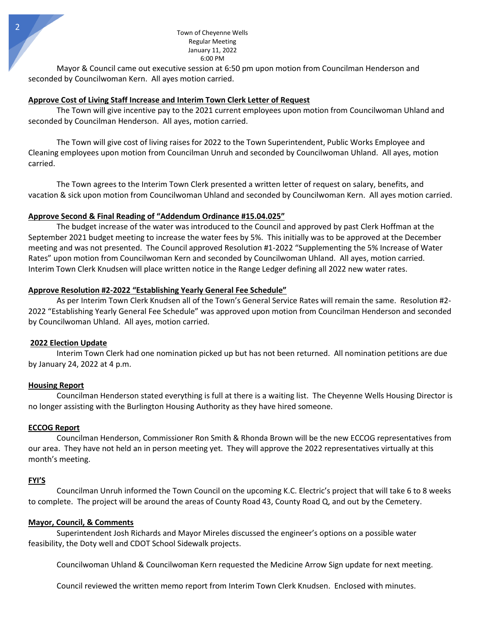Mayor & Council came out executive session at 6:50 pm upon motion from Councilman Henderson and seconded by Councilwoman Kern. All ayes motion carried.

### **Approve Cost of Living Staff Increase and Interim Town Clerk Letter of Request**

The Town will give incentive pay to the 2021 current employees upon motion from Councilwoman Uhland and seconded by Councilman Henderson. All ayes, motion carried.

The Town will give cost of living raises for 2022 to the Town Superintendent, Public Works Employee and Cleaning employees upon motion from Councilman Unruh and seconded by Councilwoman Uhland. All ayes, motion carried.

The Town agrees to the Interim Town Clerk presented a written letter of request on salary, benefits, and vacation & sick upon motion from Councilwoman Uhland and seconded by Councilwoman Kern. All ayes motion carried.

### **Approve Second & Final Reading of "Addendum Ordinance #15.04.025"**

The budget increase of the water was introduced to the Council and approved by past Clerk Hoffman at the September 2021 budget meeting to increase the water fees by 5%. This initially was to be approved at the December meeting and was not presented. The Council approved Resolution #1-2022 "Supplementing the 5% Increase of Water Rates" upon motion from Councilwoman Kern and seconded by Councilwoman Uhland. All ayes, motion carried. Interim Town Clerk Knudsen will place written notice in the Range Ledger defining all 2022 new water rates.

# **Approve Resolution #2-2022 "Establishing Yearly General Fee Schedule"**

As per Interim Town Clerk Knudsen all of the Town's General Service Rates will remain the same. Resolution #2- 2022 "Establishing Yearly General Fee Schedule" was approved upon motion from Councilman Henderson and seconded by Councilwoman Uhland. All ayes, motion carried.

# **2022 Election Update**

Interim Town Clerk had one nomination picked up but has not been returned. All nomination petitions are due by January 24, 2022 at 4 p.m.

# **Housing Report**

Councilman Henderson stated everything is full at there is a waiting list. The Cheyenne Wells Housing Director is no longer assisting with the Burlington Housing Authority as they have hired someone.

# **ECCOG Report**

Councilman Henderson, Commissioner Ron Smith & Rhonda Brown will be the new ECCOG representatives from our area. They have not held an in person meeting yet. They will approve the 2022 representatives virtually at this month's meeting.

### **FYI'S**

Councilman Unruh informed the Town Council on the upcoming K.C. Electric's project that will take 6 to 8 weeks to complete. The project will be around the areas of County Road 43, County Road Q, and out by the Cemetery.

# **Mayor, Council, & Comments**

Superintendent Josh Richards and Mayor Mireles discussed the engineer's options on a possible water feasibility, the Doty well and CDOT School Sidewalk projects.

Councilwoman Uhland & Councilwoman Kern requested the Medicine Arrow Sign update for next meeting.

Council reviewed the written memo report from Interim Town Clerk Knudsen. Enclosed with minutes.

2